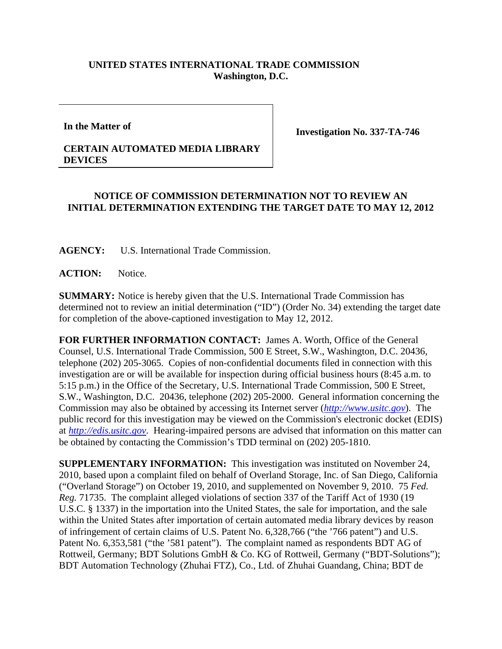## **UNITED STATES INTERNATIONAL TRADE COMMISSION Washington, D.C.**

**In the Matter of** 

**Investigation No. 337-TA-746** 

## **CERTAIN AUTOMATED MEDIA LIBRARY DEVICES**

## **NOTICE OF COMMISSION DETERMINATION NOT TO REVIEW AN INITIAL DETERMINATION EXTENDING THE TARGET DATE TO MAY 12, 2012**

**AGENCY:** U.S. International Trade Commission.

ACTION: Notice.

**SUMMARY:** Notice is hereby given that the U.S. International Trade Commission has determined not to review an initial determination ("ID") (Order No. 34) extending the target date for completion of the above-captioned investigation to May 12, 2012.

**FOR FURTHER INFORMATION CONTACT:** James A. Worth, Office of the General Counsel, U.S. International Trade Commission, 500 E Street, S.W., Washington, D.C. 20436, telephone (202) 205-3065. Copies of non-confidential documents filed in connection with this investigation are or will be available for inspection during official business hours (8:45 a.m. to 5:15 p.m.) in the Office of the Secretary, U.S. International Trade Commission, 500 E Street, S.W., Washington, D.C. 20436, telephone (202) 205-2000. General information concerning the Commission may also be obtained by accessing its Internet server (*http://www.usitc.gov*). The public record for this investigation may be viewed on the Commission's electronic docket (EDIS) at *http://edis.usitc.gov*. Hearing-impaired persons are advised that information on this matter can be obtained by contacting the Commission's TDD terminal on (202) 205-1810.

**SUPPLEMENTARY INFORMATION:** This investigation was instituted on November 24, 2010, based upon a complaint filed on behalf of Overland Storage, Inc. of San Diego, California ("Overland Storage") on October 19, 2010, and supplemented on November 9, 2010. 75 *Fed. Reg.* 71735. The complaint alleged violations of section 337 of the Tariff Act of 1930 (19 U.S.C. § 1337) in the importation into the United States, the sale for importation, and the sale within the United States after importation of certain automated media library devices by reason of infringement of certain claims of U.S. Patent No. 6,328,766 ("the '766 patent") and U.S. Patent No. 6,353,581 ("the '581 patent"). The complaint named as respondents BDT AG of Rottweil, Germany; BDT Solutions GmbH & Co. KG of Rottweil, Germany ("BDT-Solutions"); BDT Automation Technology (Zhuhai FTZ), Co., Ltd. of Zhuhai Guandang, China; BDT de